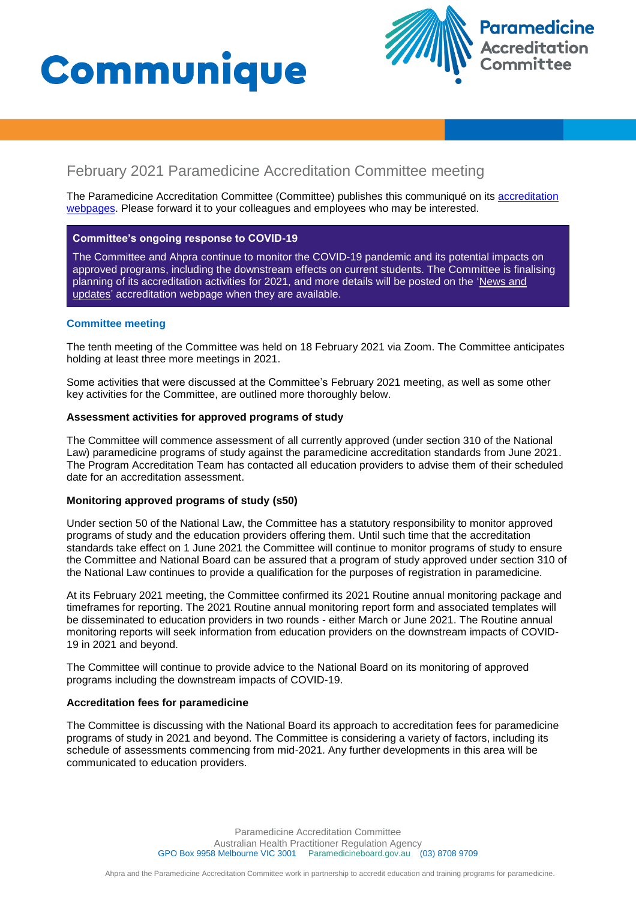



# February 2021 Paramedicine Accreditation Committee meeting

The Paramedicine Accreditation Committee (Committee) publishes this communiqué on its [accreditation](https://www.paramedicineboard.gov.au/Accreditation.aspx)  [webpages](https://www.paramedicineboard.gov.au/Accreditation.aspx). Please forward it to your colleagues and employees who may be interested.

# **Committee's ongoing response to COVID-19**

The Committee and Ahpra continue to monitor the COVID-19 pandemic and its potential impacts on approved programs, including the downstream effects on current students. The Committee is finalising planning of its accreditation activities for 2021, and more details will be posted on the ['News and](https://www.paramedicineboard.gov.au/Accreditation/Updates.aspx)  [updates'](https://www.paramedicineboard.gov.au/Accreditation/Updates.aspx) accreditation webpage when they are available.

# **Committee meeting**

The tenth meeting of the Committee was held on 18 February 2021 via Zoom. The Committee anticipates holding at least three more meetings in 2021.

Some activities that were discussed at the Committee's February 2021 meeting, as well as some other key activities for the Committee, are outlined more thoroughly below.

# **Assessment activities for approved programs of study**

The Committee will commence assessment of all currently approved (under section 310 of the National Law) paramedicine programs of study against the paramedicine accreditation standards from June 2021. The Program Accreditation Team has contacted all education providers to advise them of their scheduled date for an accreditation assessment.

# **Monitoring approved programs of study (s50)**

Under section 50 of the National Law, the Committee has a statutory responsibility to monitor approved programs of study and the education providers offering them. Until such time that the accreditation standards take effect on 1 June 2021 the Committee will continue to monitor programs of study to ensure the Committee and National Board can be assured that a program of study approved under section 310 of the National Law continues to provide a qualification for the purposes of registration in paramedicine.

At its February 2021 meeting, the Committee confirmed its 2021 Routine annual monitoring package and timeframes for reporting. The 2021 Routine annual monitoring report form and associated templates will be disseminated to education providers in two rounds - either March or June 2021. The Routine annual monitoring reports will seek information from education providers on the downstream impacts of COVID-19 in 2021 and beyond.

The Committee will continue to provide advice to the National Board on its monitoring of approved programs including the downstream impacts of COVID-19.

# **Accreditation fees for paramedicine**

The Committee is discussing with the National Board its approach to accreditation fees for paramedicine programs of study in 2021 and beyond. The Committee is considering a variety of factors, including its schedule of assessments commencing from mid-2021. Any further developments in this area will be communicated to education providers.